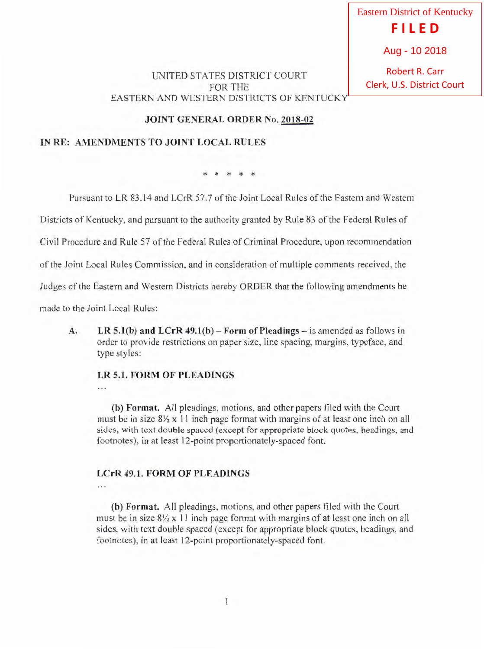Eastern District of Kentucky **F I L E D**

Robert R. Carr Aug - 10 2018<br>Robert R. Carr<br>Clerk, U.S. District Court

# UNITED STATES DISTRICT COURT FOR THE EASTERN AND WESTERN DISTRICTS OF KENTUCKY

#### **JOINT GENERAL ORDER** No. **2018-02**

### **JN RE: AMENDMENTS TO JOINT LOCAL RULES**

\* \* \* \*

Pursuant to LR 83.14 and LCrR 57.7 of the Joint Local Rules of the Eastern and Western

Districts of Kentucky, and pursuant to the authority granted by Rule 83 of the Federal Rules of

Civil Procedure and Rule 57 of the Federal Rules of Criminal Procedure, upon recommendation

of the Joint Local Rules Commission, and in consideration of multiple comments received, the

Judges of the Eastern and Western Districts hereby ORDER that the following amendments be

made to the Joint Local Rules:

. . .

A. LR 5.1(b) and LCrR 49.1(b) – Form of Pleadings – is amended as follows in order to provide restrictions on paper size, line spacing, margins, typeface, and type styles:

## **LR 5.1. FORM OF PLEADINGS**

**(b) Format.** All pleadings, motions, and other papers filed with the Court must be in size 8Y2 x **11** inch page format with margins of at least one inch on all sides, with text double spaced (except for appropriate block quotes, headings, and footnotes), in at least 12-point proportionately-spaced font.

#### **LCrR 49.1. FORM OF PLEADINGS**

 $\cdots$ 

**(b) Fo rmat.** All pleadings, motions, and other papers filed with the Court must be in size  $8\frac{1}{2}$  x 11 inch page format with margins of at least one inch on all sides, with text double spaced (except for appropriate block quotes, headings, and footnotes), in at least 12-point proportionately-spaced font.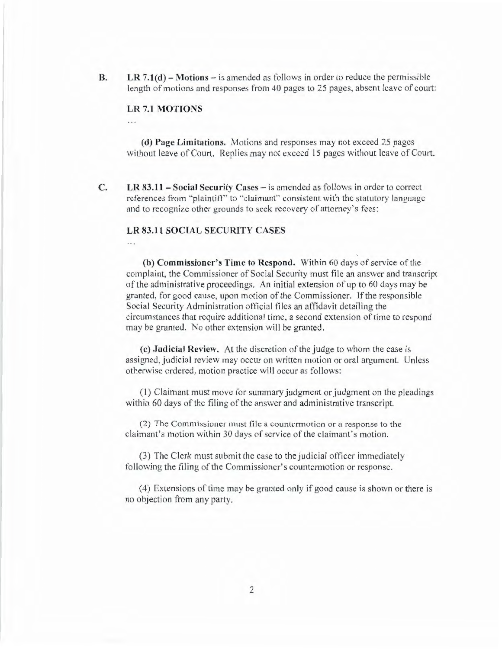B. LR 7.1(d) - Motions - is amended as follows in order to reduce the permissible length of motions and responses from 40 pages to 25 pages, absent leave of court:

#### LR 7.1 MOTIONS

 $\ddotsc$ 

 $\ddot{\phantom{a}}$ 

(d) Page Limitations. Motions and responses may not exceed 25 pages without leave of Court. Replies may not exceed 15 pages without leave of Court.

C. LR  $83.11 -$  Social Security Cases – is amended as follows in order to correct references from "plaintiff" to "claimant" consistent with the statutory language and to recognize other grounds to seek recovery of attorney's fees:

### LR 83.11 SOCIAL SECURITY CASES

(b) Commissioner's Time to Respond. Within 60 days of service of the complaint, the Commissioner of Social Security must file an answer and transcript of the administrative proceedings. An initial extension of up to 60 days may be granted, for good cause, upon motion of the Commissioner. If the responsible Social Security Administration official files an affidavit detailing the circumstances that require additional time, a second extension of time to respond may be granted. No other extension will be granted.

(c) Judicial Review. At the discretion of the judge to whom the case is assigned, judicial review may occur on written motion or oral argument. Unless otherwise ordered, motion practice will occur as follows:

(1) Claimant must move for summary judgment or judgment on the pleadings within 60 days of the filing of the answer and administrative transcript.

(2) The Commissioner must file a countermotion or a response to the claimant's motion within 30 days of service of the claimant's motion.

(3) The Clerk must submit the case to the judicial officer immediately following the filing of the Commissioner's countermotion or response.

(4) Extensions of time may be granted only if good cause is shown or there is no objection from any party.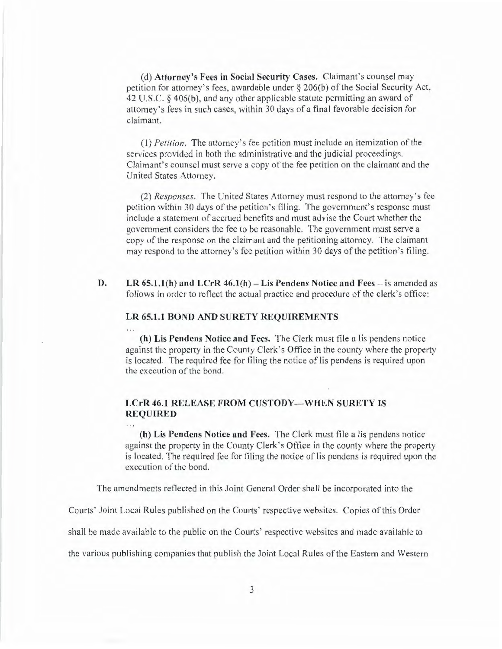(d) Attorney's Fees in Social Security Cases. Claimant's counsel may petition for attorney's fees, awardable under § 206(b) of the Social Security Act, 42 U.S.C. § 406(b), and any other applicable statute permitting an award of attorney's fees in such cases, within 30 days of a final favorable decision for claimant.

(I) *Petition.* The attorney's fee petition must include an itemization of the services provided in both the administrative and the judicial proceedings. Claimant's counsel must serve a copy of the fee petition on the claimant and the United States Attorney.

(2) *Responses.* The United States Attorney must respond to the attorney's fee petition within 30 days of the petition's filing. The government's response must include a statement of accrued benefits and must advise the Court whether the government considers the fee to be reasonable. The government must serve a copy of the response on the claimant and the petitioning attorney. The claimant may respond to the attorney's fee petition within 30 days of the petition's filing.

D. LR  $65.1.1(h)$  and LCrR  $46.1(h)$  – Lis Pendens Notice and Fees – is amended as follows in order to reflect the actual practice and procedure of the clerk's office:

#### LR 65.1.1 BOND AND SURETY REQUIREMENTS

(h) Lis Pendens Notice and Fees. The Clerk must file a lis pendens notice against the property in the County Clerk's Office in the county where the property is located. The required fee for filing the notice of lis pendens is required upon the execution of the bond.

## LCrR 46.l RELEASE FROM CUSTODY-WHEN SURETY IS REQUIRED

(h) Lis Pendens Notice and Fees. The Clerk must file a lis pendens notice against the property in the County Clerk's Office in the county where the property is located. The required fee for filing the notice of lis pendens is required upon the execution of the bond.

The amendments reflected in this Joint General Order shall be incorporated into the

Courts' Joint Local Rules published on the Courts' respective websites. Copies of this Order

shall be made available to the public on the Courts' respective websites and made available to

the various publishing companies that publish the Joint Local Rules of the Eastern and Western